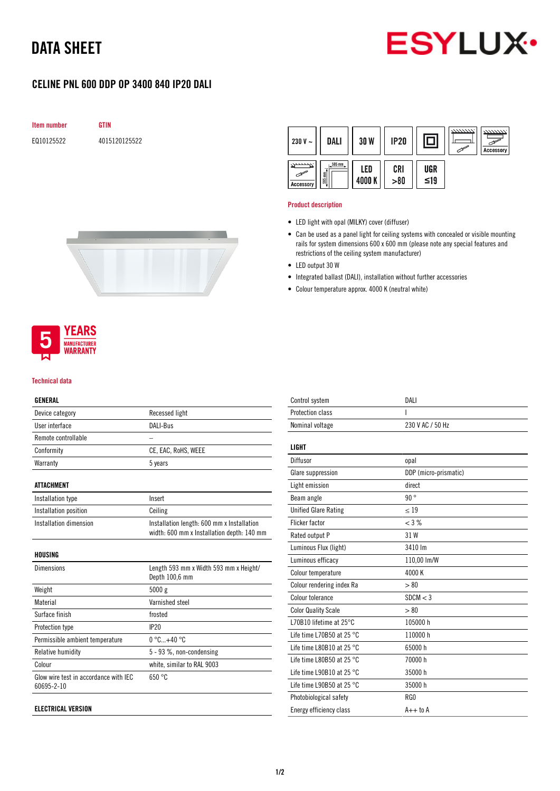# DATA SHEET



## CELINE PNL 600 DDP OP 3400 840 IP20 DALI





#### Product description

- LED light with opal (MILKY) cover (diffuser)
- Can be used as a panel light for ceiling systems with concealed or visible mounting rails for system dimensions 600 x 600 mm (please note any special features and restrictions of the ceiling system manufacturer)
- LED output 30 W
- Integrated ballast (DALI), installation without further accessories
- Colour temperature approx. 4000 K (neutral white)



#### Technical data

#### GENERAL

| Device category                                     | Recessed light                                                                           |
|-----------------------------------------------------|------------------------------------------------------------------------------------------|
| User interface                                      | DALI-Bus                                                                                 |
| Remote controllable                                 |                                                                                          |
| Conformity                                          | CE, EAC, RoHS, WEEE                                                                      |
| Warranty                                            | 5 years                                                                                  |
| <b>ATTACHMENT</b>                                   |                                                                                          |
| Installation type                                   | Insert                                                                                   |
| Installation position                               | Ceiling                                                                                  |
| Installation dimension                              | Installation length: 600 mm x Installation<br>width: 600 mm x Installation depth: 140 mm |
| HOUSING                                             |                                                                                          |
| <b>Dimensions</b>                                   | Length 593 mm x Width 593 mm x Height/<br>Depth 100,6 mm                                 |
| Weight                                              | 5000g                                                                                    |
| Material                                            | Varnished steel                                                                          |
| Surface finish                                      | frosted                                                                                  |
| Protection type                                     | IP20                                                                                     |
| Permissible ambient temperature                     | $0^{\circ}$ C+40 $^{\circ}$ C                                                            |
| Relative humidity                                   | 5 - 93 %, non-condensing                                                                 |
| Colour                                              | white, similar to RAL 9003                                                               |
| Glow wire test in accordance with IEC<br>60695-2-10 | 650 °C                                                                                   |

| Control system                      | DAI I                 |
|-------------------------------------|-----------------------|
| Protection class                    | ı                     |
| Nominal voltage                     | 230 V AC / 50 Hz      |
| LIGHT                               |                       |
| Diffusor                            | opal                  |
| Glare suppression                   | DDP (micro-prismatic) |
| Light emission                      | direct                |
| Beam angle                          | 90°                   |
| <b>Unified Glare Rating</b>         | < 19                  |
| Flicker factor                      | $<$ 3 %               |
| Rated output P                      | 31W                   |
| Luminous Flux (light)               | 3410 lm               |
| Luminous efficacy                   | 110,00 lm/W           |
| Colour temperature                  | 4000 K                |
| Colour rendering index Ra           | > 80                  |
| Colour tolerance                    | SDCM < 3              |
| <b>Color Quality Scale</b>          | > 80                  |
| 170B10 lifetime at 25°C             | 105000 h              |
| Life time L70B50 at 25 $^{\circ}$ C | 110000 h              |
| Life time L80B10 at 25 $^{\circ}$ C | 65000 h               |
| Life time L80B50 at 25 $^{\circ}$ C | 70000 h               |
| Life time L90B10 at 25 $^{\circ}$ C | 35000 h               |
| Life time L90B50 at 25 $^{\circ}$ C | 35000 h               |
| Photobiological safety              | RG0                   |
| Energy efficiency class             | $A++$ to $A$          |
|                                     |                       |